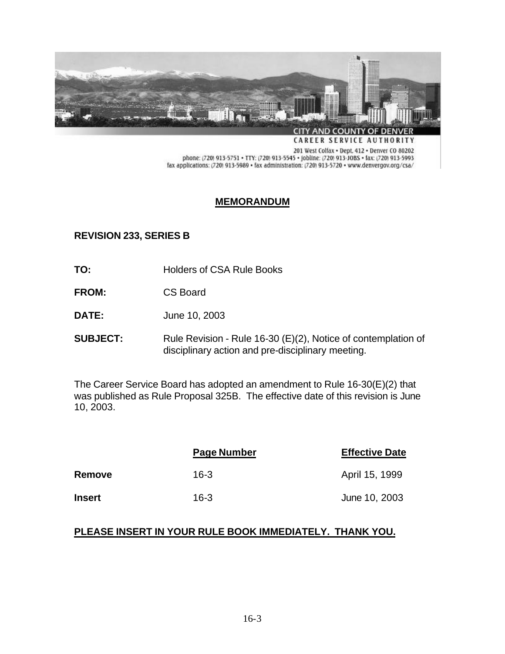

**CAREER SERVICE AUTHORITY** 

201 West Colfax . Dept. 412 . Denver CO 80202 phone: (720) 913-5751 • TTY: (720) 913-5545 • Jobline: (720) 913-JOBS • fax: (720) 913-5993<br>fax applications: (720) 913-5989 • fax administration: (720) 913-5720 • www.denvergov.org/csa/

## **MEMORANDUM**

## **REVISION 233, SERIES B**

- **TO:** Holders of CSA Rule Books
- **FROM:** CS Board
- **DATE:** June 10, 2003
- **SUBJECT:** Rule Revision Rule 16-30 (E)(2), Notice of contemplation of disciplinary action and pre-disciplinary meeting.

The Career Service Board has adopted an amendment to Rule 16-30(E)(2) that was published as Rule Proposal 325B. The effective date of this revision is June 10, 2003.

|               | Page Number | <b>Effective Date</b> |
|---------------|-------------|-----------------------|
| Remove        | $16-3$      | April 15, 1999        |
| <b>Insert</b> | $16 - 3$    | June 10, 2003         |

## **PLEASE INSERT IN YOUR RULE BOOK IMMEDIATELY. THANK YOU.**